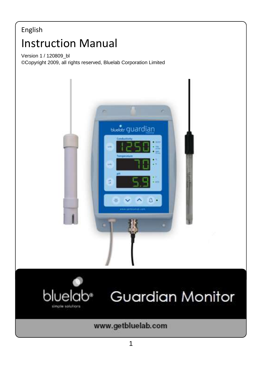## English 11 13 L1 UC L1 U<br>Version 1 / 120809\_bl Instruction Manual

©Copyright 2009, all rights reserved, Bluelab Corporation Limited





# **Guardian Monitor**

www.getbluelab.com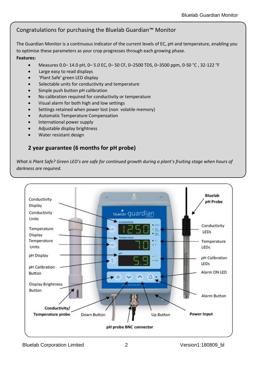## Congratulations for purchasing the Bluelab Guardian™ Monitor

The Guardian Monitor is a continuous indicator of the current levels of EC, pH and temperature, enabling you to optimise these parameters as your crop progresses through each growing phase. **Features:**

## Measures 0.0– 14.0 pH, 0– 5.0 EC, 0– 50 CF, 0–2500 TDS, 0–3500 ppm, 0-50 °C , 32-122 °F

- Large easy to read displays
- 'Plant Safe' green LED display
- Selectable units for conductivity and temperature
- Simple push button pH calibration
- No calibration required for conductivity or temperature
- Visual alarm for both high and low settings
- Settings retained when power lost (non volatile memory)
- Automatic Temperature Compensation
- International power supply
- Adjustable display brightness
- Water resistant design

## **2 year guarantee (6 months for pH probe)**

*What is Plant Safe? Green LED's are safe for continued growth during a plant's fruiting stage when hours of darkness are required.*



Bluelab Corporation Limited 2 Version1:180809\_bl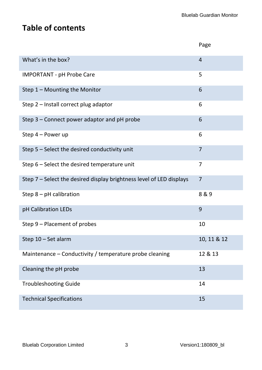## **Table of contents**

|                                                                      | Page           |
|----------------------------------------------------------------------|----------------|
| What's in the box?                                                   | $\overline{4}$ |
| <b>IMPORTANT - pH Probe Care</b>                                     | 5              |
| Step 1 - Mounting the Monitor                                        | 6              |
| Step 2 - Install correct plug adaptor                                | 6              |
| Step 3 - Connect power adaptor and pH probe                          | 6              |
| Step 4 - Power up                                                    | 6              |
| Step 5 - Select the desired conductivity unit                        | $\overline{7}$ |
| Step 6 - Select the desired temperature unit                         | 7              |
| Step 7 - Select the desired display brightness level of LED displays | $\overline{7}$ |
| Step $8$ – pH calibration                                            | 8&9            |
| pH Calibration LEDs                                                  | 9              |
| Step 9 - Placement of probes                                         | 10             |
| Step 10 - Set alarm                                                  | 10, 11 & 12    |
| Maintenance - Conductivity / temperature probe cleaning              | 12 & 13        |
| Cleaning the pH probe                                                | 13             |
| <b>Troubleshooting Guide</b>                                         | 14             |
| <b>Technical Specifications</b>                                      | 15             |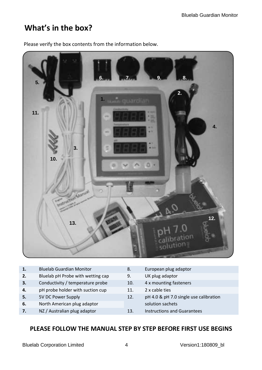## **What's in the box?**



Please verify the box contents from the information below.

| Bluelab pH Probe with wetting cap<br>UK plug adaptor<br>2.<br>9.<br>Conductivity / temperature probe<br>4 x mounting fasteners<br>3.<br>10.<br>pH probe holder with suction cup<br>2 x cable ties<br>4.<br>11.<br>5V DC Power Supply<br>pH 4.0 & pH 7.0 single use calibration<br>5.<br>12.<br>North American plug adaptor<br>solution sachets<br>6.<br>NZ / Australian plug adaptor<br><b>Instructions and Guarantees</b><br>13.<br>7. | 1. | <b>Bluelab Guardian Monitor</b> | 8. | European plug adaptor |
|-----------------------------------------------------------------------------------------------------------------------------------------------------------------------------------------------------------------------------------------------------------------------------------------------------------------------------------------------------------------------------------------------------------------------------------------|----|---------------------------------|----|-----------------------|
|                                                                                                                                                                                                                                                                                                                                                                                                                                         |    |                                 |    |                       |
|                                                                                                                                                                                                                                                                                                                                                                                                                                         |    |                                 |    |                       |
|                                                                                                                                                                                                                                                                                                                                                                                                                                         |    |                                 |    |                       |
|                                                                                                                                                                                                                                                                                                                                                                                                                                         |    |                                 |    |                       |
|                                                                                                                                                                                                                                                                                                                                                                                                                                         |    |                                 |    |                       |
|                                                                                                                                                                                                                                                                                                                                                                                                                                         |    |                                 |    |                       |

## **PLEASE FOLLOW THE MANUAL STEP BY STEP BEFORE FIRST USE BEGINS**

Bluelab Corporation Limited 4 Version1:180809\_bl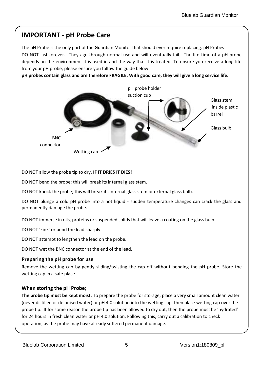## **IMPORTANT - pH Probe Care**

The pH Probe is the only part of the Guardian Monitor that should ever require replacing. pH Probes DO NOT last forever. They age through normal use and will eventually fail. The life time of a pH probe depends on the environment it is used in and the way that it is treated. To ensure you receive a long life from your pH probe, please ensure you follow the guide below.

**pH probes contain glass and are therefore FRAGILE. With good care, they will give a long service life.** 



DO NOT allow the probe tip to dry. **IF IT DRIES IT DIES!**

DO NOT bend the probe; this will break its internal glass stem.

DO NOT knock the probe; this will break its internal glass stem or external glass bulb.

DO NOT plunge a cold pH probe into a hot liquid - sudden temperature changes can crack the glass and permanently damage the probe.

DO NOT immerse in oils, proteins or suspended solids that will leave a coating on the glass bulb.

DO NOT 'kink' or bend the lead sharply.

DO NOT attempt to lengthen the lead on the probe.

DO NOT wet the BNC connector at the end of the lead.

## **Preparing the pH probe for use**

Remove the wetting cap by gently sliding/twisting the cap off without bending the pH probe. Store the wetting cap in a safe place.

## **When storing the pH Probe;**

**The probe tip must be kept moist.** To prepare the probe for storage, place a very small amount clean water (never distilled or deionised water) or pH 4.0 solution into the wetting cap, then place wetting cap over the probe tip. If for some reason the probe tip has been allowed to dry out, then the probe must be 'hydrated' for 24 hours in fresh clean water or pH 4.0 solution. Following this; carry out a calibration to check operation, as the probe may have already suffered permanent damage.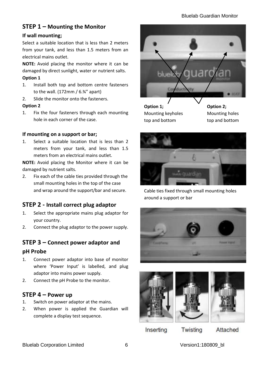## **STEP 1 – Mounting the Monitor**

## **If wall mounting;**

Select a suitable location that is less than 2 meters from your tank, and less than 1.5 meters from an electrical mains outlet.

**NOTE:** Avoid placing the monitor where it can be damaged by direct sunlight, water or nutrient salts.

#### **Option 1**

- 1. Install both top and bottom centre fasteners to the wall.  $(172 \text{mm} / 6.34)$  apart)
- 2. Slide the monitor onto the fasteners.

### **Option 2**

1. Fix the four fasteners through each mounting hole in each corner of the case.

## **If mounting on a support or bar;**

1. Select a suitable location that is less than 2 meters from your tank, and less than 1.5 meters from an electrical mains outlet.

**NOTE:** Avoid placing the Monitor where it can be damaged by nutrient salts.

2. Fix each of the cable ties provided through the small mounting holes in the top of the case and wrap around the support/bar and secure.

## **STEP 2 - Install correct plug adaptor**

- 1. Select the appropriate mains plug adaptor for your country.
- 2. Connect the plug adaptor to the power supply.

## **STEP 3 – Connect power adaptor and**

## **pH Probe**

- 1. Connect power adaptor into base of monitor where 'Power Input' is labelled, and plug adaptor into mains power supply.
- 2. Connect the pH Probe to the monitor.

## **STEP 4 – Power up**

- 1. Switch on power adaptor at the mains.
- 2. When power is applied the Guardian will complete a display test sequence.



Mounting keyholes top and bottom

**Option 2;** Mounting holes top and bottom



Cable ties fixed through small mounting holes around a support or bar







Inserting

Twisting

Attached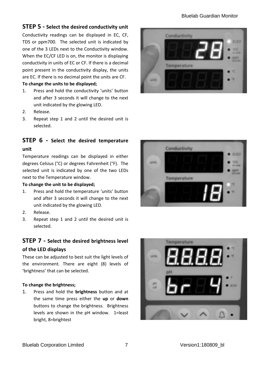## Bluelab Guardian Monitor

## **STEP 5 - Select the desired conductivity unit**

Conductivity readings can be displayed in EC, CF, TDS or ppm700. The selected unit is indicated by one of the 3 LEDs next to the Conductivity window. When the EC/CF LED is on, the monitor is displaying conductivity in units of EC or CF. If there is a decimal point present in the conductivity display, the units are EC. If there is no decimal point the units are CF.

### **To change the units to be displayed;**

- 1. Press and hold the conductivity 'units' button and after 3 seconds it will change to the next unit indicated by the glowing LED.
- 2. Release.
- 3. Repeat step 1 and 2 until the desired unit is selected.

## **STEP 6 - Select the desired temperature**

### **unit**

Temperature readings can be displayed in either degrees Celsius (°C) or degrees Fahrenheit (°F). The selected unit is indicated by one of the two LEDs next to the Temperature window.

#### **To change the unit to be displayed;**

- 1. Press and hold the temperature 'units' button and after 3 seconds it will change to the next unit indicated by the glowing LED.
- 2. Release.
- 3. Repeat step 1 and 2 until the desired unit is selected.

## **STEP 7 - Select the desired brightness level of the LED displays**

These can be adjusted to best suit the light levels of the environment. There are eight (8) levels of 'brightness' that can be selected.

#### **To change the brightness;**

1. Press and hold the **brightness** button and at the same time press either the **up** or **down** buttons to change the brightness. Brightness levels are shown in the pH window. 1=least bright, 8=brightest





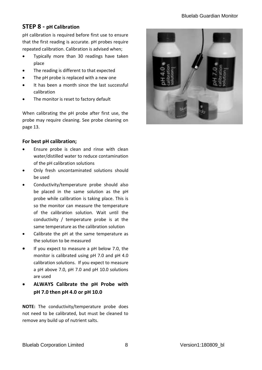## **STEP 8 - pH Calibration**

pH calibration is required before first use to ensure that the first reading is accurate. pH probes require repeated calibration. Calibration is advised when;

- Typically more than 30 readings have taken place
- The reading is different to that expected
- The pH probe is replaced with a new one
- It has been a month since the last successful calibration
- The monitor is reset to factory default

When calibrating the pH probe after first use, the probe may require cleaning. See probe cleaning on page 13.

## **For best pH calibration;**

- Ensure probe is clean and rinse with clean water/distilled water to reduce contamination of the pH calibration solutions
- Only fresh uncontaminated solutions should be used
- Conductivity/temperature probe should also be placed in the same solution as the pH probe while calibration is taking place. This is so the monitor can measure the temperature of the calibration solution. Wait until the conductivity / temperature probe is at the same temperature as the calibration solution
- Calibrate the pH at the same temperature as the solution to be measured
- If you expect to measure a pH below 7.0, the monitor is calibrated using pH 7.0 and pH 4.0 calibration solutions. If you expect to measure a pH above 7.0, pH 7.0 and pH 10.0 solutions are used
- **ALWAYS Calibrate the pH Probe with pH 7.0 then pH 4.0 or pH 10.0**

**NOTE:** The conductivity/temperature probe does not need to be calibrated, but must be cleaned to remove any build up of nutrient salts.

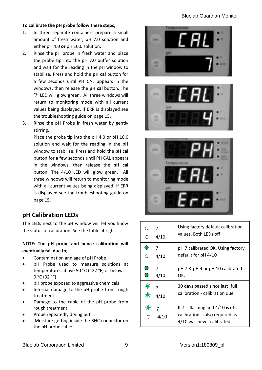### **To calibrate the pH probe follow these steps;**

- 1. In three separate containers prepare a small amount of fresh water, pH 7.0 solution and either pH 4.0 **or** pH 10.0 solution.
- 2. Rinse the pH probe in fresh water and place the probe tip into the pH 7.0 buffer solution and wait for the reading in the pH window to stabilise. Press and hold the **pH cal** button for a few seconds until PH CAL appears in the windows, then release the **pH cal** button. The '7' LED will glow green. All three windows will return to monitoring mode with all current values being displayed. If ERR is displayed see the troubleshooting guide on page 15.
- 3. Rinse the pH Probe in fresh water by gently stirring.

Place the probe tip into the pH 4.0 or pH 10.0 solution and wait for the reading in the pH window to stabilise. Press and hold the **pH cal** button for a few seconds until PH CAL appears in the windows, then release the **pH cal** button. The 4/10 LED will glow green. All three windows will return to monitoring mode with all current values being displayed. If ERR is displayed see the troubleshooting guide on page 15.

## **pH Calibration LEDs**

The LEDs next to the pH window will let you know the status of calibration. See the table at right.

## **NOTE: The pH probe and hence calibration will eventually fail due to;**

- Contamination and age of pH Probe
- pH Probe used to measure solutions at temperatures above 50 °C (122 °F) or below  $0 °C (32 °F)$
- pH probe exposed to aggressive chemicals
- Internal damage to the pH probe from rough treatment
- Damage to the cable of the pH probe from rough treatment
- Probe repeatedly drying out
- Moisture getting inside the BNC connector on the pH probe cable







| ∩<br>O | 4/10                   | Using factory default calibration<br>values. Both LEDs off                                        |
|--------|------------------------|---------------------------------------------------------------------------------------------------|
| ∩<br>∩ | 7<br>4/10              | pH 7 calibrated OK. Using factory<br>default for pH 4/10                                          |
| 0<br>∩ | $\overline{7}$<br>4/10 | pH 7 & pH 4 or pH 10 calibrated<br>OK.                                                            |
|        | 4/10                   | 30 days passed since last full<br>calibration - calibration due.                                  |
|        | $\overline{7}$<br>4/10 | If 7 is flashing and 4/10 is off,<br>calibration is also required as<br>4/10 was never calibrated |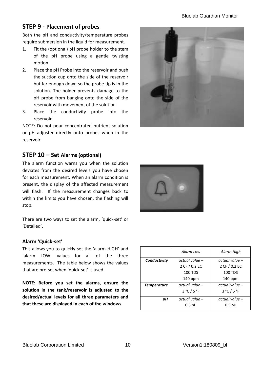## **STEP 9 - Placement of probes**

Both the pH and conductivity/temperature probes require submersion in the liquid for measurement.

- 1. Fit the (optional) pH probe holder to the stem of the pH probe using a gentle twisting motion.
- 2. Place the pH Probe into the reservoir and push the suction cup onto the side of the reservoir but far enough down so the probe tip is in the solution. The holder prevents damage to the pH probe from banging onto the side of the reservoir with movement of the solution.
- 3. Place the conductivity probe into the reservoir.

NOTE: Do not pour concentrated nutrient solution or pH adjuster directly onto probes when in the reservoir.



## **STEP 10 – Set Alarms (optional)**

The alarm function warns you when the solution deviates from the desired levels you have chosen for each measurement. When an alarm condition is present, the display of the affected measurement will flash. If the measurement changes back to within the limits you have chosen, the flashing will stop.

There are two ways to set the alarm, 'quick-set' or 'Detailed'.

## **Alarm 'Quick-set'**

This allows you to quickly set the 'alarm HIGH' and 'alarm LOW' values for all of the three measurements. The table below shows the values that are pre-set when 'quick-set' is used.

**NOTE: Before you set the alarms, ensure the solution in the tank/reservoir is adjusted to the desired/actual levels for all three parameters and that these are displayed in each of the windows.**



|                                | Alarm Low                      | Alarm High     |  |
|--------------------------------|--------------------------------|----------------|--|
| Conductivity<br>actual value – |                                | actual value + |  |
|                                | 2 CF / 0.2 EC                  | 2 CF / 0.2 EC  |  |
|                                | 100 TDS                        | <b>100 TDS</b> |  |
|                                | $140$ ppm                      | $140$ ppm      |  |
| <b>Temperature</b>             | actual value -                 | actual value + |  |
|                                | $3^{\circ}$ C / 5 $^{\circ}$ F | 3°C/5°F        |  |
| pН                             | actual value -                 | actual value + |  |
|                                | $0.5$ pH                       | $0.5$ pH       |  |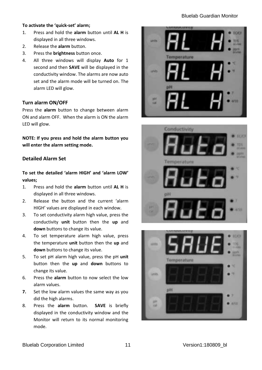### Bluelab Guardian Monitor

### **To activate the 'quick-set' alarm;**

- 1. Press and hold the **alarm** button until **AL H** is displayed in all three windows.
- 2. Release the **alarm** button.
- 3. Press the **brightness** button once.
- 4. All three windows will display **Auto** for 1 second and then **SAVE** will be displayed in the conductivity window. The alarms are now auto set and the alarm mode will be turned on. The alarm LED will glow.

#### **Turn alarm ON/OFF**

Press the **alarm** button to change between alarm ON and alarm OFF. When the alarm is ON the alarm LED will glow.

**NOTE: If you press and hold the alarm button you will enter the alarm setting mode.**

## **Detailed Alarm Set**

**To set the detailed 'alarm HIGH' and 'alarm LOW' values;**

- 1. Press and hold the **alarm** button until **AL H** is displayed in all three windows.
- 2. Release the button and the current 'alarm HIGH' values are displayed in each window.
- 3. To set conductivity alarm high value, press the conductivity **unit** button then the **up** and **down** buttons to change its value.
- 4. To set temperature alarm high value, press the temperature **unit** button then the **up** and **down** buttons to change its value.
- 5. To set pH alarm high value, press the pH **unit** button then the **up** and **down** buttons to change its value.
- 6. Press the **alarm** button to now select the low alarm values.
- **7.** Set the low alarm values the same way as you did the high alarms.
- 8. Press the **alarm** button. **SAVE** is briefly displayed in the conductivity window and the Monitor will return to its normal monitoring mode.





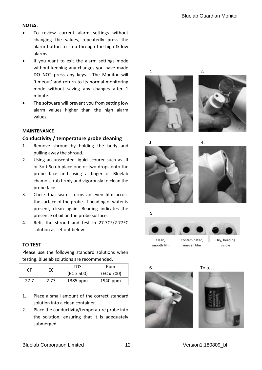#### **NOTES:**

- To review current alarm settings without changing the values, repeatedly press the alarm button to step through the high & low alarms.
- If you want to exit the alarm settings mode without keeping any changes you have made DO NOT press any keys. The Monitor will 'timeout' and return to its normal monitoring mode without saving any changes after 1 minute.
- The software will prevent you from setting low alarm values higher than the high alarm values.

## **MAINTENANCE**

#### **Conductivity / temperature probe cleaning**

- 1. Remove shroud by holding the body and pulling away the shroud.
- 2. Using an unscented liquid scourer such as Jif or Soft Scrub place one or two drops onto the probe face and using a finger or Bluelab chamois, rub firmly and vigorously to clean the probe face.
- 3. Check that water forms an even film across the surface of the probe. If beading of water is present, clean again. Beading indicates the presence of oil on the probe surface.
- 4. Refit the shroud and test in 27.7CF/2.77EC solution as set out below.

## **TO TEST**

Please use the following standard solutions when testing. Bluelab solutions are recommended.

| CF   | ЕC   | <b>TDS</b><br>Ppm |            |
|------|------|-------------------|------------|
|      |      | $(EC \times 500)$ | (EC x 700) |
| 27.7 | 2.77 | 1385 ppm          | 1940 ppm   |

- 1. Place a small amount of the correct standard solution into a clean container.
- 2. Place the conductivity/temperature probe into the solution; ensuring that it is adequately submerged.











Clean smooth film

Contaminated,







uneven film





6. To test



 $\begin{array}{c} \hline \end{array}$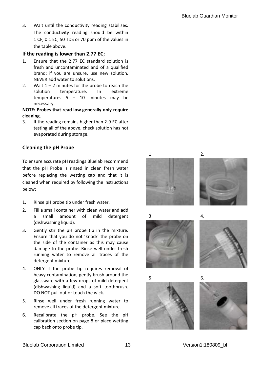3. Wait until the conductivity reading stabilises. The conductivity reading should be within 1 CF, 0.1 EC, 50 TDS or 70 ppm of the values in the table above.

## **If the reading is lower than 2.77 EC;**

- 1. Ensure that the 2.77 EC standard solution is fresh and uncontaminated and of a qualified brand; if you are unsure, use new solution. NEVER add water to solutions.
- 2. Wait  $1 2$  minutes for the probe to reach the solution temperature. In extreme temperatures 5 – 10 minutes may be necessary.

#### **NOTE: Probes that read low generally only require cleaning.**

3. If the reading remains higher than 2.9 EC after testing all of the above, check solution has not evaporated during storage.

## **Cleaning the pH Probe**

To ensure accurate pH readings Bluelab recommend that the pH Probe is rinsed in clean fresh water before replacing the wetting cap and that it is cleaned when required by following the instructions below;

- 1. Rinse pH probe tip under fresh water.
- 2. Fill a small container with clean water and add a small amount of mild detergent (dishwashing liquid).
- 3. Gently stir the pH probe tip in the mixture. Ensure that you do not 'knock' the probe on the side of the container as this may cause damage to the probe. Rinse well under fresh running water to remove all traces of the detergent mixture.
- 4. ONLY if the probe tip requires removal of heavy contamination, gently brush around the glassware with a few drops of mild detergent (dishwashing liquid) and a soft toothbrush. DO NOT pull out or touch the wick.
- 5. Rinse well under fresh running water to remove all traces of the detergent mixture.
- 6. Recalibrate the pH probe. See the pH calibration section on page 8 or place wetting cap back onto probe tip.

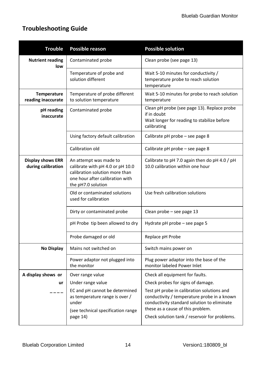## **Troubleshooting Guide**

| <b>Trouble</b>                                 | Possible reason                                                                                                                                       | <b>Possible solution</b>                                                                                                                                                                                                       |  |
|------------------------------------------------|-------------------------------------------------------------------------------------------------------------------------------------------------------|--------------------------------------------------------------------------------------------------------------------------------------------------------------------------------------------------------------------------------|--|
| <b>Nutrient reading</b><br>low                 | Contaminated probe                                                                                                                                    | Clean probe (see page 13)                                                                                                                                                                                                      |  |
|                                                | Temperature of probe and<br>Wait 5-10 minutes for conductivity /<br>solution different<br>temperature probe to reach solution<br>temperature          |                                                                                                                                                                                                                                |  |
| <b>Temperature</b><br>reading inaccurate       | Temperature of probe different<br>to solution temperature                                                                                             | Wait 5-10 minutes for probe to reach solution<br>temperature                                                                                                                                                                   |  |
| pH reading<br>inaccurate                       | Contaminated probe                                                                                                                                    | Clean pH probe (see page 13). Replace probe<br>if in doubt<br>Wait longer for reading to stabilize before<br>calibrating                                                                                                       |  |
|                                                | Using factory default calibration                                                                                                                     | Calibrate pH probe - see page 8                                                                                                                                                                                                |  |
|                                                | Calibration old                                                                                                                                       | Calibrate pH probe - see page 8                                                                                                                                                                                                |  |
| <b>Display shows ERR</b><br>during calibration | An attempt was made to<br>calibrate with pH 4.0 or pH 10.0<br>calibration solution more than<br>one hour after calibration with<br>the pH7.0 solution | Calibrate to pH 7.0 again then do pH 4.0 / pH<br>10.0 calibration within one hour                                                                                                                                              |  |
|                                                | Old or contaminated solutions<br>used for calibration                                                                                                 | Use fresh calibration solutions                                                                                                                                                                                                |  |
|                                                | Dirty or contaminated probe                                                                                                                           | Clean probe - see page 13                                                                                                                                                                                                      |  |
|                                                | pH Probe tip been allowed to dry                                                                                                                      | Hydrate pH probe - see page 5                                                                                                                                                                                                  |  |
|                                                | Probe damaged or old                                                                                                                                  | Replace pH Probe                                                                                                                                                                                                               |  |
| No Display                                     | Mains not switched on                                                                                                                                 | Switch mains power on                                                                                                                                                                                                          |  |
|                                                | Power adaptor not plugged into<br>the monitor                                                                                                         | Plug power adaptor into the base of the<br>monitor labeled Power Inlet                                                                                                                                                         |  |
| A display shows or                             | Over range value                                                                                                                                      | Check all equipment for faults.                                                                                                                                                                                                |  |
| ur                                             | Under range value                                                                                                                                     | Check probes for signs of damage.                                                                                                                                                                                              |  |
| ----                                           | EC and pH cannot be determined<br>as temperature range is over /<br>under<br>(see technical specification range<br>page 14)                           | Test pH probe in calibration solutions and<br>conductivity / temperature probe in a known<br>conductivity standard solution to eliminate<br>these as a cause of this problem.<br>Check solution tank / reservoir for problems. |  |
|                                                |                                                                                                                                                       |                                                                                                                                                                                                                                |  |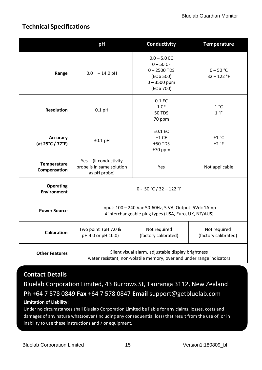## **Technical Specifications**

|                                        | pH                                                                                                                          | Conductivity                                                                                                | <b>Temperature</b>                   |
|----------------------------------------|-----------------------------------------------------------------------------------------------------------------------------|-------------------------------------------------------------------------------------------------------------|--------------------------------------|
| Range                                  | $0.0 - 14.0$ pH                                                                                                             | $0.0 - 5.0$ EC<br>$0 - 50$ CF<br>$0 - 2500$ TDS<br>$(EC \times 500)$<br>$0 - 3500$ ppm<br>$(EC \times 700)$ | $0 - 50 °C$<br>$32 - 122$ °F         |
| <b>Resolution</b>                      | $0.1$ pH                                                                                                                    | 0.1 EC<br>1CF<br><b>50 TDS</b><br>70 ppm                                                                    | 1 °C<br>1 °F                         |
| Accuracy<br>(at 25°C / 77°F)           | $±0.1$ pH                                                                                                                   | $±0.1$ EC<br>±1 CF<br>$±50$ TDS<br>$±70$ ppm                                                                | ±1 °C<br>$±2$ °F                     |
| Temperature<br>Compensation            | Yes - (if conductivity<br>probe is in same solution<br>as pH probe)                                                         | Yes                                                                                                         | Not applicable                       |
| <b>Operating</b><br><b>Environment</b> | $0 - 50 °C / 32 - 122 °F$                                                                                                   |                                                                                                             |                                      |
| <b>Power Source</b>                    | Input: 100 - 240 Vac 50-60Hz, 5 VA, Output: 5Vdc 1Amp<br>4 interchangeable plug types (USA, Euro, UK, NZ/AUS)               |                                                                                                             |                                      |
| <b>Calibration</b>                     | Two point (pH 7.0 &<br>pH 4.0 or pH 10.0)                                                                                   | Not required<br>(factory calibrated)                                                                        | Not required<br>(factory calibrated) |
| <b>Other Features</b>                  | Silent visual alarm, adjustable display brightness<br>water resistant, non-volatile memory, over and under range indicators |                                                                                                             |                                      |

## **Contact Details**

Bluelab Corporation Limited, 43 Burrows St, Tauranga 3112, New Zealand **Ph** +64 7 578 0849 **Fax** +64 7 578 0847 **Email** [support@getbluelab.com](mailto:support@getbluelab.com) **Limitation of Liability:**

Under no circumstances shall Bluelab Corporation Limited be liable for any claims, losses, costs and damages of any nature whatsoever (including any consequential loss) that result from the use of, or in inability to use these instructions and / or equipment.